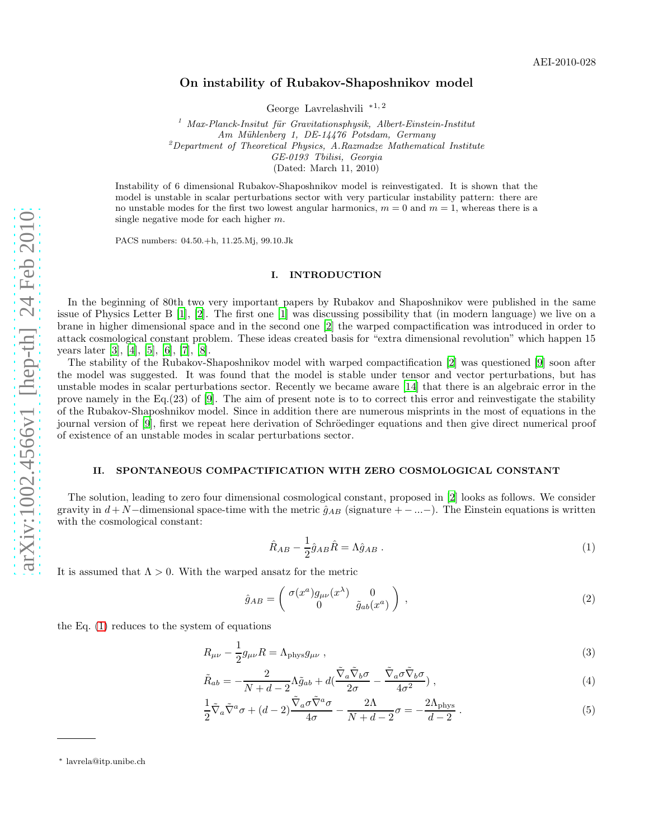# On instability of Rubakov-Shaposhnikov model

George Lavrelashvili <sup>∗</sup>1, 2

 $1$  Max-Planck-Insitut für Gravitationsphysik, Albert-Einstein-Institut Am Mühlenberg 1, DE-14476 Potsdam, Germany  $2D$ epartment of Theoretical Physics, A.Razmadze Mathematical Institute GE-0193 Tbilisi, Georgia (Dated: March 11, 2010)

Instability of 6 dimensional Rubakov-Shaposhnikov model is reinvestigated. It is shown that the model is unstable in scalar perturbations sector with very particular instability pattern: there are no unstable modes for the first two lowest angular harmonics,  $m = 0$  and  $m = 1$ , whereas there is a single negative mode for each higher m.

PACS numbers: 04.50.+h, 11.25.Mj, 99.10.Jk

## I. INTRODUCTION

In the beginning of 80th two very important papers by Rubakov and Shaposhnikov were published in the same issue of Physics Letter B [\[1](#page-5-0)], [\[2](#page-5-1)]. The first one [\[1\]](#page-5-0) was discussing possibility that (in modern language) we live on a brane in higher dimensional space and in the second one [\[2\]](#page-5-1) the warped compactification was introduced in order to attack cosmological constant problem. These ideas created basis for "extra dimensional revolution" which happen 15 years later [\[3\]](#page-5-2), [\[4](#page-5-3)], [\[5\]](#page-5-4), [\[6](#page-5-5)], [\[7\]](#page-5-6), [\[8\]](#page-5-7).

The stability of the Rubakov-Shaposhnikov model with warped compactification [\[2\]](#page-5-1) was questioned [\[9](#page-5-8)] soon after the model was suggested. It was found that the model is stable under tensor and vector perturbations, but has unstable modes in scalar perturbations sector. Recently we became aware [\[14\]](#page-5-9) that there is an algebraic error in the prove namely in the Eq.(23) of [\[9](#page-5-8)]. The aim of present note is to to correct this error and reinvestigate the stability of the Rubakov-Shaposhnikov model. Since in addition there are numerous misprints in the most of equations in the journal version of [\[9\]](#page-5-8), first we repeat here derivation of Schröedinger equations and then give direct numerical proof of existence of an unstable modes in scalar perturbations sector.

### II. SPONTANEOUS COMPACTIFICATION WITH ZERO COSMOLOGICAL CONSTANT

The solution, leading to zero four dimensional cosmological constant, proposed in [\[2](#page-5-1)] looks as follows. We consider gravity in  $d+N$ –dimensional space-time with the metric  $\hat{g}_{AB}$  (signature  $+ - ... -$ ). The Einstein equations is written with the cosmological constant:

<span id="page-0-0"></span>
$$
\hat{R}_{AB} - \frac{1}{2}\hat{g}_{AB}\hat{R} = \Lambda \hat{g}_{AB} . \tag{1}
$$

It is assumed that  $\Lambda > 0$ . With the warped ansatz for the metric

<span id="page-0-2"></span>
$$
\hat{g}_{AB} = \begin{pmatrix} \sigma(x^a) g_{\mu\nu}(x^\lambda) & 0 \\ 0 & \tilde{g}_{ab}(x^a) \end{pmatrix} , \qquad (2)
$$

the Eq. [\(1\)](#page-0-0) reduces to the system of equations

<span id="page-0-1"></span>
$$
R_{\mu\nu} - \frac{1}{2}g_{\mu\nu}R = \Lambda_{\text{phys}}g_{\mu\nu} \,, \tag{3}
$$

$$
\tilde{R}_{ab} = -\frac{2}{N+d-2} \Lambda \tilde{g}_{ab} + d(\frac{\tilde{\nabla}_a \tilde{\nabla}_b \sigma}{2\sigma} - \frac{\tilde{\nabla}_a \sigma \tilde{\nabla}_b \sigma}{4\sigma^2}) ,
$$
\n(4)

$$
\frac{1}{2}\tilde{\nabla}_a\tilde{\nabla}^a\sigma + (d-2)\frac{\tilde{\nabla}_a\sigma\tilde{\nabla}^a\sigma}{4\sigma} - \frac{2\Lambda}{N+d-2}\sigma = -\frac{2\Lambda_{\text{phys}}}{d-2}.
$$
\n(5)

<sup>∗</sup> lavrela@itp.unibe.ch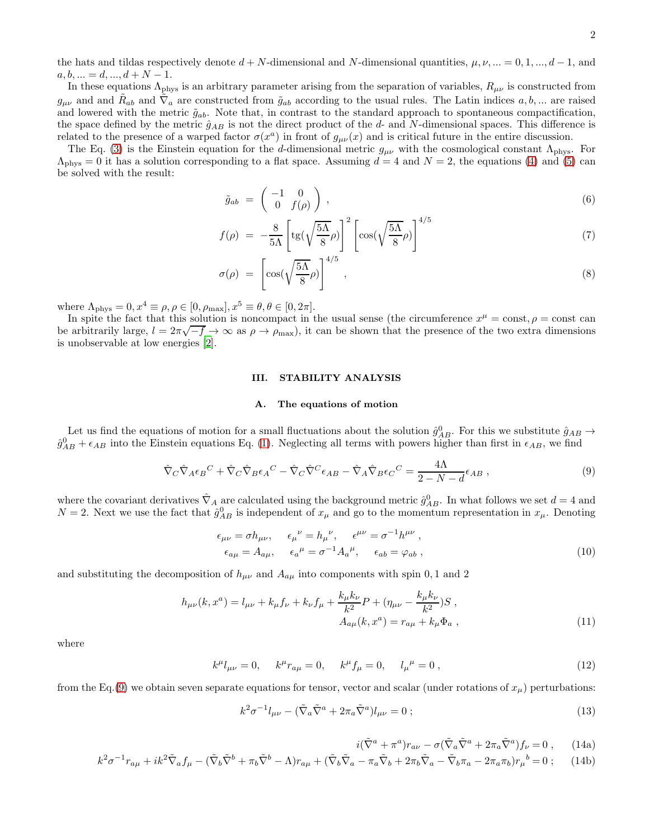the hats and tildas respectively denote  $d + N$ -dimensional and N-dimensional quantities,  $\mu, \nu, ... = 0, 1, ..., d - 1$ , and  $a, b, \ldots = d, \ldots, d + N - 1.$ 

In these equations  $\Lambda_{\rm phys}$  is an arbitrary parameter arising from the separation of variables,  $R_{\mu\nu}$  is constructed from  $g_{\mu\nu}$  and and  $\tilde{R}_{ab}$  and  $\tilde{\nabla}_a$  are constructed from  $\tilde{g}_{ab}$  according to the usual rules. The Latin indices  $a, b, ...$  are raised and lowered with the metric  $\tilde{g}_{ab}$ . Note that, in contrast to the standard approach to spontaneous compactification, the space defined by the metric  $\hat{g}_{AB}$  is not the direct product of the d- and N-dimensional spaces. This difference is related to the presence of a warped factor  $\sigma(x^a)$  in front of  $g_{\mu\nu}(x)$  and is critical future in the entire discussion.

The Eq. [\(3\)](#page-0-1) is the Einstein equation for the d-dimensional metric  $g_{\mu\nu}$  with the cosmological constant  $\Lambda_{\rm phys}$ . For  $\Lambda_{\rm phys}=0$  it has a solution corresponding to a flat space. Assuming  $d=4$  and  $N=2$ , the equations [\(4\)](#page-0-1) and [\(5\)](#page-0-1) can be solved with the result:

<span id="page-1-5"></span>
$$
\tilde{g}_{ab} = \begin{pmatrix} -1 & 0 \\ 0 & f(\rho) \end{pmatrix}, \tag{6}
$$

$$
f(\rho) = -\frac{8}{5\Lambda} \left[ \text{tg}\left(\sqrt{\frac{5\Lambda}{8}}\rho\right) \right]^2 \left[ \cos\left(\sqrt{\frac{5\Lambda}{8}}\rho\right) \right]^{4/5} \tag{7}
$$

$$
\sigma(\rho) = \left[ \cos(\sqrt{\frac{5\Lambda}{8}}\rho) \right]^{4/5}, \qquad (8)
$$

where  $\Lambda_{\text{phys}} = 0, x^4 \equiv \rho, \rho \in [0, \rho_{\text{max}}], x^5 \equiv \theta, \theta \in [0, 2\pi].$ 

In spite the fact that this solution is noncompact in the usual sense (the circumference  $x^{\mu} = \text{const}, \rho = \text{const}$  can  $\Delta$  be arbitrarily large,  $l = 2\pi\sqrt{-f} \rightarrow \infty$  as  $\rho \rightarrow \rho_{\text{max}}$ ), it can be shown that the presence of the two extra dimensions is unobservable at low energies [\[2](#page-5-1)].

### III. STABILITY ANALYSIS

#### A. The equations of motion

Let us find the equations of motion for a small fluctuations about the solution  $\hat{g}_{AB}^0$ . For this we substitute  $\hat{g}_{AB} \rightarrow$  $\hat{g}_{AB}^0 + \epsilon_{AB}$  into the Einstein equations Eq. [\(1\)](#page-0-0). Neglecting all terms with powers higher than first in  $\epsilon_{AB}$ , we find

<span id="page-1-0"></span>
$$
\hat{\nabla}_{C}\hat{\nabla}_{A}\epsilon_{B}{}^{C} + \hat{\nabla}_{C}\hat{\nabla}_{B}\epsilon_{A}{}^{C} - \hat{\nabla}_{C}\hat{\nabla}^{C}\epsilon_{AB} - \hat{\nabla}_{A}\hat{\nabla}_{B}\epsilon_{C}{}^{C} = \frac{4\Lambda}{2 - N - d}\epsilon_{AB},\tag{9}
$$

where the covariant derivatives  $\hat{\nabla}_A$  are calculated using the background metric  $\hat{g}_{AB}^0$ . In what follows we set  $d = 4$  and  $N=2$ . Next we use the fact that  $\hat{g}_{AB}^0$  is independent of  $x_\mu$  and go to the momentum representation in  $x_\mu$ . Denoting

<span id="page-1-2"></span>
$$
\epsilon_{\mu\nu} = \sigma h_{\mu\nu}, \quad \epsilon_{\mu}{}^{\nu} = h_{\mu}{}^{\nu}, \quad \epsilon^{\mu\nu} = \sigma^{-1} h^{\mu\nu}, \n\epsilon_{a\mu} = A_{a\mu}, \quad \epsilon_{a}{}^{\mu} = \sigma^{-1} A_{a}{}^{\mu}, \quad \epsilon_{ab} = \varphi_{ab},
$$
\n(10)

and substituting the decomposition of  $h_{\mu\nu}$  and  $A_{a\mu}$  into components with spin 0, 1 and 2

<span id="page-1-3"></span>
$$
h_{\mu\nu}(k, x^a) = l_{\mu\nu} + k_{\mu} f_{\nu} + k_{\nu} f_{\mu} + \frac{k_{\mu} k_{\nu}}{k^2} P + (\eta_{\mu\nu} - \frac{k_{\mu} k_{\nu}}{k^2}) S ,
$$
  

$$
A_{a\mu}(k, x^a) = r_{a\mu} + k_{\mu} \Phi_a ,
$$
 (11)

where

$$
k^{\mu}l_{\mu\nu} = 0, \quad k^{\mu}r_{a\mu} = 0, \quad k^{\mu}f_{\mu} = 0, \quad l_{\mu}{}^{\mu} = 0, \tag{12}
$$

from the Eq.[\(9\)](#page-1-0) we obtain seven separate equations for tensor, vector and scalar (under rotations of  $x_\mu$ ) perturbations:

<span id="page-1-1"></span>
$$
k^2 \sigma^{-1} l_{\mu\nu} - (\tilde{\nabla}_a \tilde{\nabla}^a + 2\pi_a \tilde{\nabla}^a) l_{\mu\nu} = 0 ; \qquad (13)
$$

<span id="page-1-4"></span>
$$
i(\tilde{\nabla}^a + \pi^a) r_{a\nu} - \sigma(\tilde{\nabla}_a \tilde{\nabla}^a + 2\pi_a \tilde{\nabla}^a) f_{\nu} = 0 , \qquad (14a)
$$

$$
k^2 \sigma^{-1} r_{a\mu} + ik^2 \tilde{\nabla}_a f_\mu - (\tilde{\nabla}_b \tilde{\nabla}^b + \pi_b \tilde{\nabla}^b - \Lambda) r_{a\mu} + (\tilde{\nabla}_b \tilde{\nabla}_a - \pi_a \tilde{\nabla}_b + 2\pi_b \tilde{\nabla}_a - \tilde{\nabla}_b \pi_a - 2\pi_a \pi_b) r_\mu^b = 0 ; \quad (14b)
$$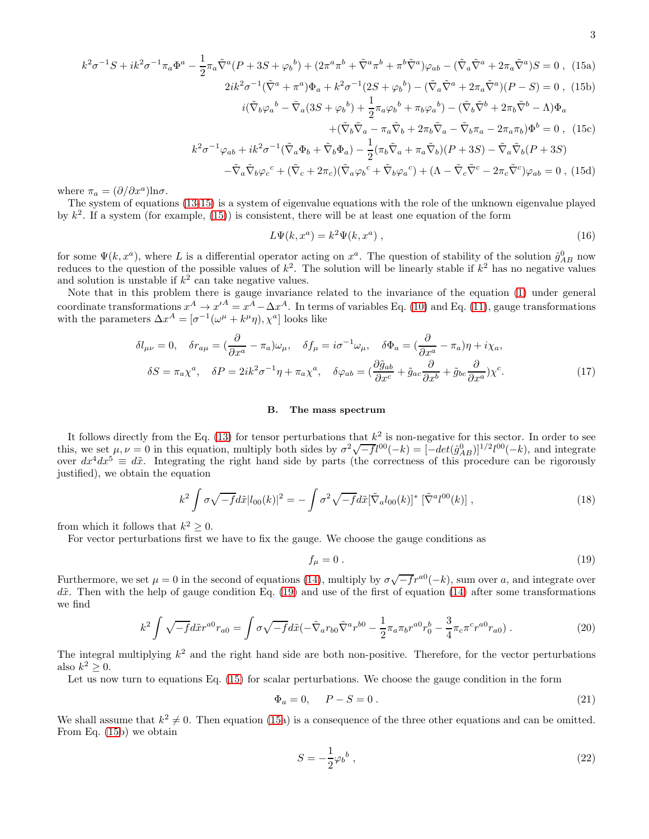<span id="page-2-0"></span>
$$
k^{2}\sigma^{-1}S + ik^{2}\sigma^{-1}\pi_{a}\Phi^{a} - \frac{1}{2}\pi_{a}\tilde{\nabla}^{a}(P + 3S + \varphi_{b}^{b}) + (2\pi^{a}\pi^{b} + \tilde{\nabla}^{a}\pi^{b} + \pi^{b}\tilde{\nabla}^{a})\varphi_{ab} - (\tilde{\nabla}_{a}\tilde{\nabla}^{a} + 2\pi_{a}\tilde{\nabla}^{a})S = 0 , (15a)
$$
  

$$
2ik^{2}\sigma^{-1}(\tilde{\nabla}^{a} + \pi^{a})\Phi_{a} + k^{2}\sigma^{-1}(2S + \varphi_{b}^{b}) - (\tilde{\nabla}_{a}\tilde{\nabla}^{a} + 2\pi_{a}\tilde{\nabla}^{a})(P - S) = 0 , (15b)
$$

$$
k^2 \sigma^{-1} (\tilde{\nabla}^a + \pi^a) \Phi_a + k^2 \sigma^{-1} (2S + \varphi_b^b) - (\tilde{\nabla}_a \tilde{\nabla}^a + 2\pi_a \tilde{\nabla}^a)(P - S) = 0 , \text{ (15b)}
$$
  

$$
i(\tilde{\nabla}_b \varphi_a^b - \tilde{\nabla}_a (3S + \varphi_b^b) + \frac{1}{2} \pi_a \varphi_b^b + \pi_b \varphi_a^b) - (\tilde{\nabla}_b \tilde{\nabla}^b + 2\pi_b \tilde{\nabla}^b - \Lambda) \Phi_a
$$

$$
+(\tilde{\nabla}_b \tilde{\nabla}_a - \pi_a \tilde{\nabla}_b + 2\pi_b \tilde{\nabla}_a - \tilde{\nabla}_b \pi_a - 2\pi_a \pi_b) \Phi^b = 0 , \text{ (15c)}
$$

$$
k^2 \sigma^{-1} \varphi_{ab} + ik^2 \sigma^{-1} (\tilde{\nabla}_a \Phi_b + \tilde{\nabla}_b \Phi_a) - \frac{1}{2} (\pi_b \tilde{\nabla}_a + \pi_a \tilde{\nabla}_b)(P + 3S) - \tilde{\nabla}_a \tilde{\nabla}_b (P + 3S) - \tilde{\nabla}_a \tilde{\nabla}_b \varphi_c^c + (\tilde{\nabla}_c + 2\pi_c)(\tilde{\nabla}_a \varphi_b^c + \tilde{\nabla}_b \varphi_a^c) + (\Lambda - \tilde{\nabla}_c \tilde{\nabla}^c - 2\pi_c \tilde{\nabla}^c) \varphi_{ab} = 0, (15d)
$$

where  $\pi_a = (\partial/\partial x^a) \ln \sigma$ .

The system of equations [\(13](#page-1-1)[-15\)](#page-2-0) is a system of eigenvalue equations with the role of the unknown eigenvalue played by  $k^2$ . If a system (for example, [\(15\)](#page-2-0)) is consistent, there will be at least one equation of the form

$$
L\Psi(k, x^a) = k^2 \Psi(k, x^a) \tag{16}
$$

for some  $\Psi(k, x^a)$ , where L is a differential operator acting on  $x^a$ . The question of stability of the solution  $\hat{g}_{AB}^0$  now reduces to the question of the possible values of  $k^2$ . The solution will be linearly stable if  $k^2$  has no negative values and solution is unstable if  $k^2$  can take negative values.

Note that in this problem there is gauge invariance related to the invariance of the equation [\(1\)](#page-0-0) under general coordinate transformations  $x^A \to x'^A = x^A - \Delta x^A$ . In terms of variables Eq. [\(10\)](#page-1-2) and Eq. [\(11\)](#page-1-3), gauge transformations with the parameters  $\Delta x^A = [\sigma^{-1}(\omega^{\mu} + k^{\mu}\eta), \chi^a]$  looks like

$$
\delta l_{\mu\nu} = 0, \quad \delta r_{a\mu} = \left(\frac{\partial}{\partial x^a} - \pi_a\right)\omega_\mu, \quad \delta f_\mu = i\sigma^{-1}\omega_\mu, \quad \delta \Phi_a = \left(\frac{\partial}{\partial x^a} - \pi_a\right)\eta + i\chi_a,
$$

$$
\delta S = \pi_a \chi^a, \quad \delta P = 2ik^2 \sigma^{-1}\eta + \pi_a \chi^a, \quad \delta \varphi_{ab} = \left(\frac{\partial \tilde{g}_{ab}}{\partial x^c} + \tilde{g}_{ac}\frac{\partial}{\partial x^b} + \tilde{g}_{bc}\frac{\partial}{\partial x^a}\right)\chi^c.
$$
(17)

#### B. The mass spectrum

It follows directly from the Eq. [\(13\)](#page-1-1) for tensor perturbations that  $k^2$  is non-negative for this sector. In order to see this, we set  $\mu, \nu = 0$  in this equation, multiply both sides by  $\sigma^2 \sqrt{-f} l^{00}(-k) = [-det(\hat{g}_{AB}^0)]^{1/2} l^{00}(-k)$ , and integrate over  $dx^4 dx^5 \equiv d\tilde{x}$ . Integrating the right hand side by parts (the correctness of this procedure can be rigorously justified), we obtain the equation

$$
k^2 \int \sigma \sqrt{-f} d\tilde{x} |l_{00}(k)|^2 = -\int \sigma^2 \sqrt{-f} d\tilde{x} [\tilde{\nabla}_a l_{00}(k)]^* [\tilde{\nabla}^a l^{00}(k)], \qquad (18)
$$

from which it follows that  $k^2 \geq 0$ .

For vector perturbations first we have to fix the gauge. We choose the gauge conditions as

<span id="page-2-1"></span>
$$
f_{\mu} = 0. \tag{19}
$$

Furthermore, we set  $\mu = 0$  in the second of equations [\(14\)](#page-1-4), multiply by  $\sigma \sqrt{-f}r^{a0}(-k)$ , sum over a, and integrate over  $d\tilde{x}$ . Then with the help of gauge condition Eq. [\(19\)](#page-2-1) and use of the first of equation [\(14\)](#page-1-4) after some transformations we find

$$
k^2 \int \sqrt{-f} d\tilde{x} r^{a0} r_{a0} = \int \sigma \sqrt{-f} d\tilde{x} (-\tilde{\nabla}_a r_{b0} \tilde{\nabla}^a r^{b0} - \frac{1}{2} \pi_a \pi_b r^{a0} r_0^b - \frac{3}{4} \pi_c \pi^c r^{a0} r_{a0}). \tag{20}
$$

The integral multiplying  $k^2$  and the right hand side are both non-positive. Therefore, for the vector perturbations also  $k^2 \geq 0$ .

Let us now turn to equations Eq. [\(15\)](#page-2-0) for scalar perturbations. We choose the gauge condition in the form

<span id="page-2-2"></span>
$$
\Phi_a = 0, \quad P - S = 0. \tag{21}
$$

We shall assume that  $k^2 \neq 0$ . Then equation [\(15a](#page-2-0)) is a consequence of the three other equations and can be omitted. From Eq. [\(15b](#page-2-0)) we obtain

$$
S = -\frac{1}{2}\varphi_b{}^b \,,\tag{22}
$$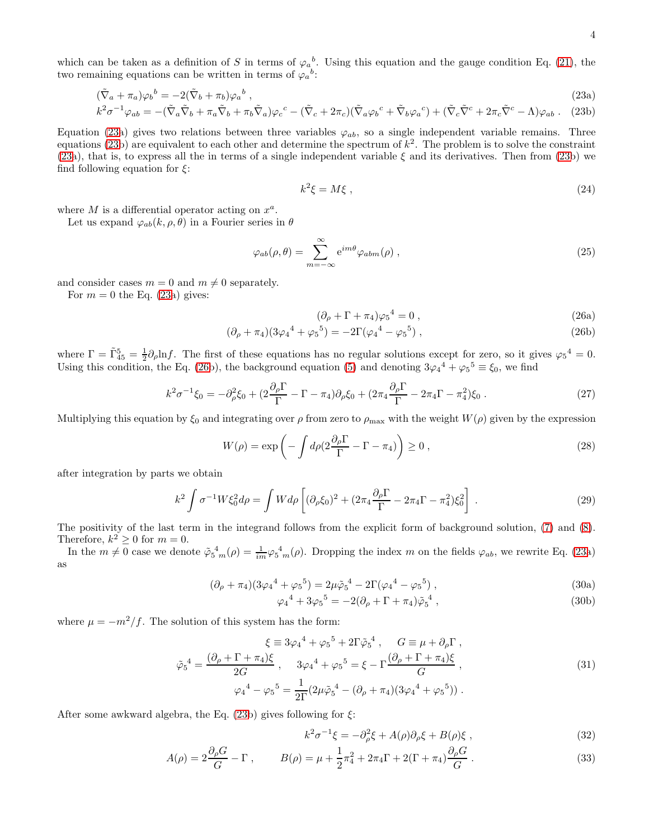which can be taken as a definition of S in terms of  $\varphi_a^b$ . Using this equation and the gauge condition Eq. [\(21\)](#page-2-2), the two remaining equations can be written in terms of  $\varphi_a^b$ :

<span id="page-3-0"></span>
$$
(\tilde{\nabla}_a + \pi_a)\varphi_b{}^b = -2(\tilde{\nabla}_b + \pi_b)\varphi_a{}^b \,, \tag{23a}
$$

$$
k^2 \sigma^{-1} \varphi_{ab} = -(\tilde{\nabla}_a \tilde{\nabla}_b + \pi_a \tilde{\nabla}_b + \pi_b \tilde{\nabla}_a) \varphi_c{}^c - (\tilde{\nabla}_c + 2\pi_c) (\tilde{\nabla}_a \varphi_b{}^c + \tilde{\nabla}_b \varphi_a{}^c) + (\tilde{\nabla}_c \tilde{\nabla}^c + 2\pi_c \tilde{\nabla}^c - \Lambda) \varphi_{ab} .
$$
 (23b)

Equation [\(23a](#page-3-0)) gives two relations between three variables  $\varphi_{ab}$ , so a single independent variable remains. Three equations [\(23b](#page-3-0)) are equivalent to each other and determine the spectrum of  $k^2$ . The problem is to solve the constraint [\(23a](#page-3-0)), that is, to express all the in terms of a single independent variable  $\xi$  and its derivatives. Then from [\(23b](#page-3-0)) we find following equation for  $\xi$ :

$$
k^2 \xi = M \xi \tag{24}
$$

where  $M$  is a differential operator acting on  $x^a$ .

Let us expand  $\varphi_{ab}(k, \rho, \theta)$  in a Fourier series in  $\theta$ 

$$
\varphi_{ab}(\rho,\theta) = \sum_{m=-\infty}^{\infty} e^{im\theta} \varphi_{abm}(\rho) , \qquad (25)
$$

and consider cases  $m = 0$  and  $m \neq 0$  separately.

For  $m = 0$  the Eq. [\(23a](#page-3-0)) gives:

<span id="page-3-1"></span>
$$
(\partial_{\rho} + \Gamma + \pi_4)\varphi_5{}^4 = 0 , \qquad (26a)
$$

$$
(\partial_{\rho} + \pi_4)(3\varphi_4{}^4 + \varphi_5{}^5) = -2\Gamma(\varphi_4{}^4 - \varphi_5{}^5) , \qquad (26b)
$$

where  $\Gamma = \tilde{\Gamma}^5_{45} = \frac{1}{2}\partial_\rho \ln f$ . The first of these equations has no regular solutions except for zero, so it gives  $\varphi_5^4 = 0$ . Using this condition, the Eq. [\(26b](#page-3-1)), the background equation [\(5\)](#page-0-1) and denoting  $3\varphi_4^4 + \varphi_5^5 \equiv \xi_0$ , we find

$$
k^2 \sigma^{-1} \xi_0 = -\partial_{\rho}^2 \xi_0 + (2\frac{\partial_{\rho} \Gamma}{\Gamma} - \Gamma - \pi_4) \partial_{\rho} \xi_0 + (2\pi_4 \frac{\partial_{\rho} \Gamma}{\Gamma} - 2\pi_4 \Gamma - \pi_4^2) \xi_0 \,. \tag{27}
$$

Multiplying this equation by  $\xi_0$  and integrating over  $\rho$  from zero to  $\rho_{\text{max}}$  with the weight  $W(\rho)$  given by the expression

$$
W(\rho) = \exp\left(-\int d\rho \left(2\frac{\partial_{\rho}\Gamma}{\Gamma} - \Gamma - \pi_4\right)\right) \ge 0,
$$
\n(28)

after integration by parts we obtain

$$
k^2 \int \sigma^{-1} W \xi_0^2 d\rho = \int W d\rho \left[ (\partial_\rho \xi_0)^2 + (2\pi_4 \frac{\partial_\rho \Gamma}{\Gamma} - 2\pi_4 \Gamma - \pi_4^2) \xi_0^2 \right] \,. \tag{29}
$$

The positivity of the last term in the integrand follows from the explicit form of background solution, [\(7\)](#page-1-5) and [\(8\)](#page-1-5). Therefore,  $k^2 \geq 0$  for  $m = 0$ .

In the  $m \neq 0$  case we denote  $\tilde{\varphi}_5^4$   $_m(\rho) = \frac{1}{im} \varphi_5^4$   $_m(\rho)$ . Dropping the index m on the fields  $\varphi_{ab}$ , we rewrite Eq. [\(23a](#page-3-0)) as

$$
(\partial_{\rho} + \pi_4)(3\varphi_4{}^4 + \varphi_5{}^5) = 2\mu\tilde{\varphi}_5{}^4 - 2\Gamma(\varphi_4{}^4 - \varphi_5{}^5) , \qquad (30a)
$$

$$
\varphi_4^4 + 3\varphi_5^5 = -2(\partial_\rho + \Gamma + \pi_4)\tilde{\varphi}_5^4 , \qquad (30b)
$$

where  $\mu = -m^2/f$ . The solution of this system has the form:

$$
\xi \equiv 3\varphi_4{}^4 + \varphi_5{}^5 + 2\Gamma\tilde{\varphi}_5{}^4 , \quad G \equiv \mu + \partial_\rho \Gamma ,
$$
  

$$
\tilde{\varphi}_5{}^4 = \frac{(\partial_\rho + \Gamma + \pi_4)\xi}{2G} , \quad 3\varphi_4{}^4 + \varphi_5{}^5 = \xi - \Gamma \frac{(\partial_\rho + \Gamma + \pi_4)\xi}{G} ,
$$
  

$$
\varphi_4{}^4 - \varphi_5{}^5 = \frac{1}{2\Gamma} (2\mu\tilde{\varphi}_5{}^4 - (\partial_\rho + \pi_4)(3\varphi_4{}^4 + \varphi_5{}^5)) .
$$
 (31)

After some awkward algebra, the Eq.  $(23b)$  gives following for  $\xi$ :

<span id="page-3-2"></span>
$$
k^2 \sigma^{-1} \xi = -\partial_{\rho}^2 \xi + A(\rho) \partial_{\rho} \xi + B(\rho) \xi , \qquad (32)
$$

$$
A(\rho) = 2\frac{\partial_{\rho}G}{G} - \Gamma , \qquad B(\rho) = \mu + \frac{1}{2}\pi_{4}^{2} + 2\pi_{4}\Gamma + 2(\Gamma + \pi_{4})\frac{\partial_{\rho}G}{G} . \qquad (33)
$$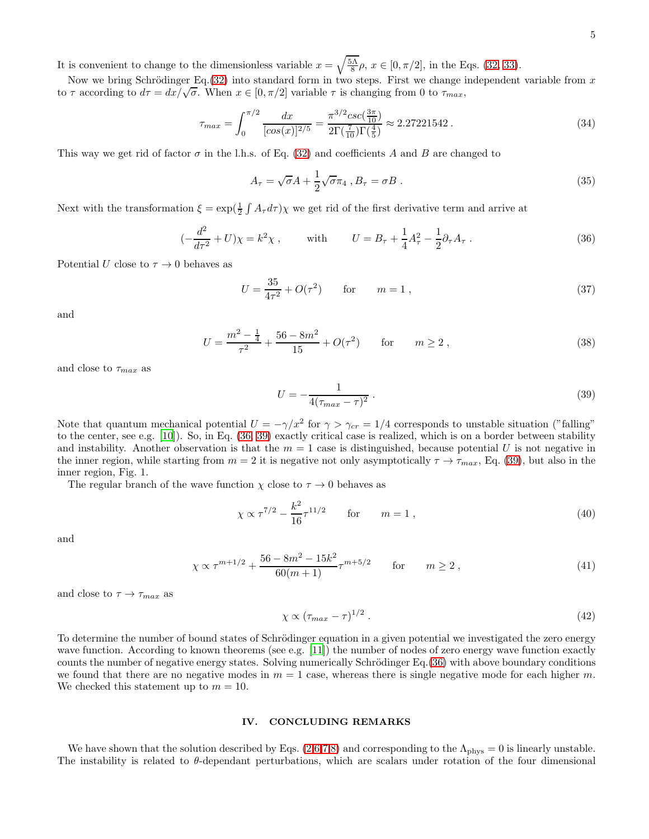It is convenient to change to the dimensionless variable 
$$
x = \sqrt{\frac{5\Lambda}{8}}\rho
$$
,  $x \in [0, \pi/2]$ , in the Eqs. (32, 33).

Now we bring Schrödinger Eq.  $(32)$  into standard form in two steps. First we change independent variable from x to  $\tau$  according to  $d\tau = dx/\sqrt{\sigma}$ . When  $x \in [0, \pi/2]$  variable  $\tau$  is changing from 0 to  $\tau_{max}$ ,

$$
\tau_{max} = \int_0^{\pi/2} \frac{dx}{[\cos(x)]^{2/5}} = \frac{\pi^{3/2} \csc(\frac{3\pi}{10})}{2\Gamma(\frac{7}{10})\Gamma(\frac{4}{5})} \approx 2.27221542. \tag{34}
$$

This way we get rid of factor  $\sigma$  in the l.h.s. of Eq. [\(32\)](#page-3-2) and coefficients A and B are changed to

$$
A_{\tau} = \sqrt{\sigma}A + \frac{1}{2}\sqrt{\sigma}\pi_4, B_{\tau} = \sigma B. \qquad (35)
$$

Next with the transformation  $\xi = \exp(\frac{1}{2} \int A_{\tau} d\tau) \chi$  we get rid of the first derivative term and arrive at

<span id="page-4-0"></span>
$$
(-\frac{d^2}{d\tau^2} + U)\chi = k^2 \chi \,, \qquad \text{with} \qquad U = B_\tau + \frac{1}{4}A_\tau^2 - \frac{1}{2}\partial_\tau A_\tau \,. \tag{36}
$$

Potential U close to  $\tau \to 0$  behaves as

$$
U = \frac{35}{4\tau^2} + O(\tau^2) \qquad \text{for} \qquad m = 1 \,, \tag{37}
$$

and

$$
U = \frac{m^2 - \frac{1}{4}}{\tau^2} + \frac{56 - 8m^2}{15} + O(\tau^2) \qquad \text{for} \qquad m \ge 2 ,
$$
 (38)

and close to  $\tau_{max}$  as

<span id="page-4-1"></span>
$$
U = -\frac{1}{4(\tau_{max} - \tau)^2} \,. \tag{39}
$$

Note that quantum mechanical potential  $U = -\gamma/x^2$  for  $\gamma > \gamma_{cr} = 1/4$  corresponds to unstable situation ("falling" to the center, see e.g. [\[10](#page-5-10)]). So, in Eq. [\(36,](#page-4-0) [39\)](#page-4-1) exactly critical case is realized, which is on a border between stability and instability. Another observation is that the  $m = 1$  case is distinguished, because potential U is not negative in the inner region, while starting from  $m = 2$  it is negative not only asymptotically  $\tau \to \tau_{max}$ , Eq. [\(39\)](#page-4-1), but also in the inner region, Fig. 1.

The regular branch of the wave function  $\chi$  close to  $\tau \to 0$  behaves as

$$
\chi \propto \tau^{7/2} - \frac{k^2}{16} \tau^{11/2}
$$
 for  $m = 1$ , (40)

and

$$
\chi \propto \tau^{m+1/2} + \frac{56 - 8m^2 - 15k^2}{60(m+1)} \tau^{m+5/2} \qquad \text{for} \qquad m \ge 2 , \tag{41}
$$

and close to  $\tau \to \tau_{max}$  as

$$
\chi \propto (\tau_{max} - \tau)^{1/2} \tag{42}
$$

To determine the number of bound states of Schrödinger equation in a given potential we investigated the zero energy wave function. According to known theorems (see e.g. [\[11\]](#page-5-11)) the number of nodes of zero energy wave function exactly counts the number of negative energy states. Solving numerically Schrödinger Eq.[\(36\)](#page-4-0) with above boundary conditions we found that there are no negative modes in  $m = 1$  case, whereas there is single negative mode for each higher m. We checked this statement up to  $m = 10$ .

## IV. CONCLUDING REMARKS

We have shown that the solution described by Eqs.  $(2,6,7,8)$  $(2,6,7,8)$  and corresponding to the  $\Lambda_{\rm phys} = 0$  is linearly unstable. The instability is related to  $\theta$ -dependant perturbations, which are scalars under rotation of the four dimensional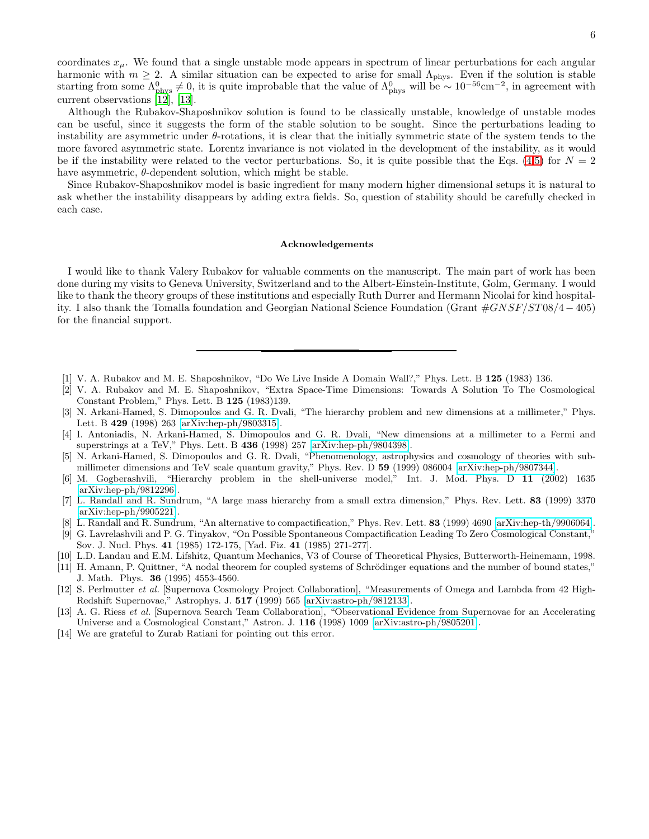coordinates  $x_{\mu}$ . We found that a single unstable mode appears in spectrum of linear perturbations for each angular harmonic with  $m \geq 2$ . A similar situation can be expected to arise for small  $\Lambda_{\text{phys}}$ . Even if the solution is stable starting from some  $\Lambda_{\text{phys}}^0 \neq 0$ , it is quite improbable that the value of  $\Lambda_{\text{phys}}^0$  will be ~ 10<sup>-56</sup>cm<sup>-2</sup>, in agreement with current observations [\[12](#page-5-12)], [\[13\]](#page-5-13).

Although the Rubakov-Shaposhnikov solution is found to be classically unstable, knowledge of unstable modes can be useful, since it suggests the form of the stable solution to be sought. Since the perturbations leading to instability are asymmetric under  $\theta$ -rotations, it is clear that the initially symmetric state of the system tends to the more favored asymmetric state. Lorentz invariance is not violated in the development of the instability, as it would be if the instability were related to the vector perturbations. So, it is quite possible that the Eqs. [\(4,5\)](#page-0-1) for  $N = 2$ have asymmetric,  $\theta$ -dependent solution, which might be stable.

Since Rubakov-Shaposhnikov model is basic ingredient for many modern higher dimensional setups it is natural to ask whether the instability disappears by adding extra fields. So, question of stability should be carefully checked in each case.

### Acknowledgements

I would like to thank Valery Rubakov for valuable comments on the manuscript. The main part of work has been done during my visits to Geneva University, Switzerland and to the Albert-Einstein-Institute, Golm, Germany. I would like to thank the theory groups of these institutions and especially Ruth Durrer and Hermann Nicolai for kind hospitality. I also thank the Tomalla foundation and Georgian National Science Foundation (Grant  $\#GNSF/ST08/4-405$ ) for the financial support.

- <span id="page-5-0"></span>[1] V. A. Rubakov and M. E. Shaposhnikov, "Do We Live Inside A Domain Wall?," Phys. Lett. B 125 (1983) 136.
- <span id="page-5-1"></span>[2] V. A. Rubakov and M. E. Shaposhnikov, "Extra Space-Time Dimensions: Towards A Solution To The Cosmological Constant Problem," Phys. Lett. B 125 (1983)139.
- <span id="page-5-2"></span>[3] N. Arkani-Hamed, S. Dimopoulos and G. R. Dvali, "The hierarchy problem and new dimensions at a millimeter," Phys. Lett. B 429 (1998) 263 [\[arXiv:hep-ph/9803315\]](http://arxiv.org/abs/hep-ph/9803315).
- <span id="page-5-3"></span>[4] I. Antoniadis, N. Arkani-Hamed, S. Dimopoulos and G. R. Dvali, "New dimensions at a millimeter to a Fermi and superstrings at a TeV," Phys. Lett. B 436 (1998) 257 [\[arXiv:hep-ph/9804398\]](http://arxiv.org/abs/hep-ph/9804398).
- <span id="page-5-4"></span>[5] N. Arkani-Hamed, S. Dimopoulos and G. R. Dvali, "Phenomenology, astrophysics and cosmology of theories with submillimeter dimensions and TeV scale quantum gravity," Phys. Rev. D 59 (1999) 086004 [\[arXiv:hep-ph/9807344\]](http://arxiv.org/abs/hep-ph/9807344).
- <span id="page-5-5"></span>[6] M. Gogberashvili, "Hierarchy problem in the shell-universe model," Int. J. Mod. Phys. D 11 (2002) 1635 [\[arXiv:hep-ph/9812296\]](http://arxiv.org/abs/hep-ph/9812296).
- <span id="page-5-6"></span>[7] L. Randall and R. Sundrum, "A large mass hierarchy from a small extra dimension," Phys. Rev. Lett. 83 (1999) 3370 [\[arXiv:hep-ph/9905221\]](http://arxiv.org/abs/hep-ph/9905221).
- <span id="page-5-7"></span>[8] L. Randall and R. Sundrum, "An alternative to compactification," Phys. Rev. Lett. 83 (1999) 4690 [\[arXiv:hep-th/9906064\]](http://arxiv.org/abs/hep-th/9906064).
- <span id="page-5-8"></span>[9] G. Lavrelashvili and P. G. Tinyakov, "On Possible Spontaneous Compactification Leading To Zero Cosmological Constant," Sov. J. Nucl. Phys. 41 (1985) 172-175, [Yad. Fiz. 41 (1985) 271-277].
- <span id="page-5-10"></span>[10] L.D. Landau and E.M. Lifshitz, Quantum Mechanics, V3 of Course of Theoretical Physics, Butterworth-Heinemann, 1998.
- <span id="page-5-11"></span>[11] H. Amann, P. Quittner, "A nodal theorem for coupled systems of Schrödinger equations and the number of bound states," J. Math. Phys. 36 (1995) 4553-4560.
- <span id="page-5-12"></span>[12] S. Perlmutter et al. [Supernova Cosmology Project Collaboration], "Measurements of Omega and Lambda from 42 High-Redshift Supernovae," Astrophys. J. 517 (1999) 565 [\[arXiv:astro-ph/9812133\]](http://arxiv.org/abs/astro-ph/9812133).
- <span id="page-5-13"></span>[13] A. G. Riess et al. [Supernova Search Team Collaboration], "Observational Evidence from Supernovae for an Accelerating Universe and a Cosmological Constant," Astron. J. 116 (1998) 1009 [\[arXiv:astro-ph/9805201\]](http://arxiv.org/abs/astro-ph/9805201).
- <span id="page-5-9"></span>[14] We are grateful to Zurab Ratiani for pointing out this error.